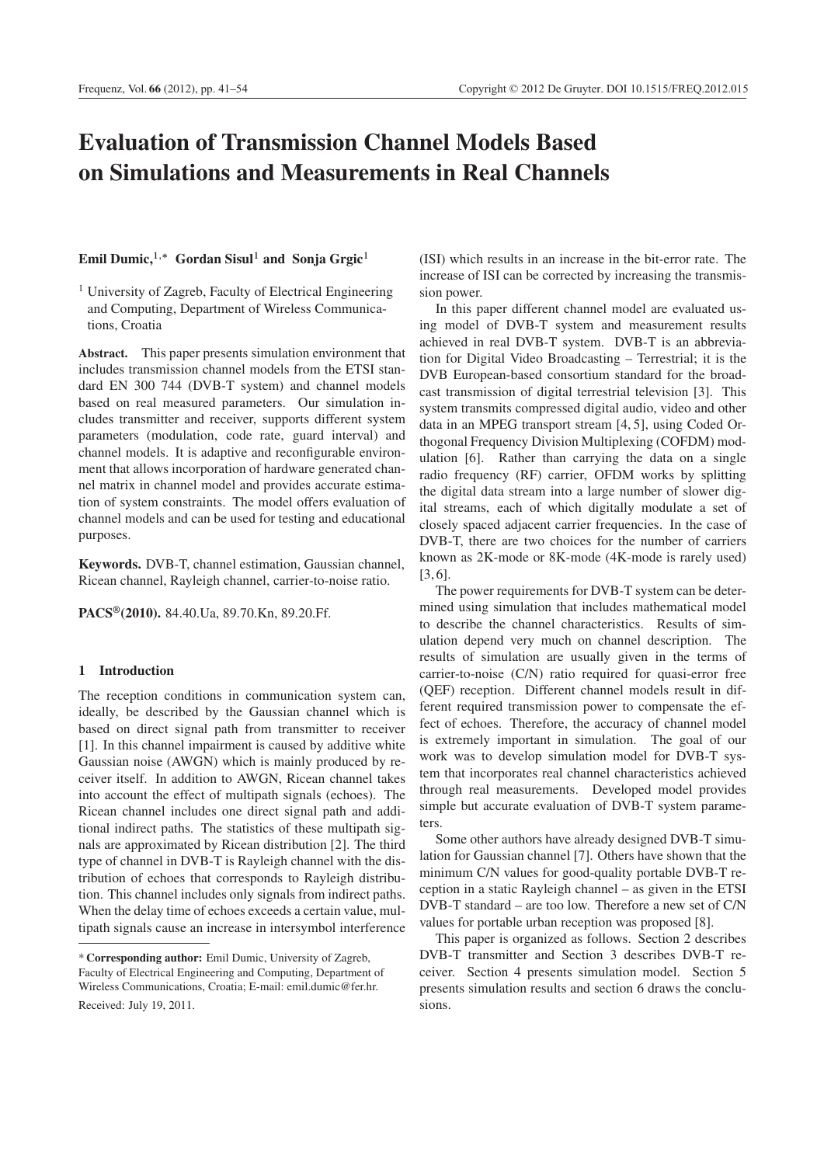# **Evaluation of Transmission Channel Models Based on Simulations and Measurements in Real Channels**

# $Emil$  Dumic,<sup>1,\*</sup> Gordan Sisul<sup>1</sup> and Sonja Grgic<sup>1</sup>

<sup>1</sup> University of Zagreb, Faculty of Electrical Engineering and Computing, Department of Wireless Communications, Croatia

**Abstract.** This paper presents simulation environment that includes transmission channel models from the ETSI standard EN 300 744 (DVB-T system) and channel models based on real measured parameters. Our simulation includes transmitter and receiver, supports different system parameters (modulation, code rate, guard interval) and channel models. It is adaptive and reconfigurable environment that allows incorporation of hardware generated channel matrix in channel model and provides accurate estimation of system constraints. The model offers evaluation of channel models and can be used for testing and educational purposes.

**Keywords.** DVB-T, channel estimation, Gaussian channel, Ricean channel, Rayleigh channel, carrier-to-noise ratio.

**PACS®(2010).** 84.40.Ua, 89.70.Kn, 89.20.Ff.

## **1 Introduction**

The reception conditions in communication system can, ideally, be described by the Gaussian channel which is based on direct signal path from transmitter to receiver [1]. In this channel impairment is caused by additive white Gaussian noise (AWGN) which is mainly produced by receiver itself. In addition to AWGN, Ricean channel takes into account the effect of multipath signals (echoes). The Ricean channel includes one direct signal path and additional indirect paths. The statistics of these multipath signals are approximated by Ricean distribution [2]. The third type of channel in DVB-T is Rayleigh channel with the distribution of echoes that corresponds to Rayleigh distribution. This channel includes only signals from indirect paths. When the delay time of echoes exceeds a certain value, multipath signals cause an increase in intersymbol interference (ISI) which results in an increase in the bit-error rate. The increase of ISI can be corrected by increasing the transmission power.

In this paper different channel model are evaluated using model of DVB-T system and measurement results achieved in real DVB-T system. DVB-T is an abbreviation for Digital Video Broadcasting – Terrestrial; it is the DVB European-based consortium standard for the broadcast transmission of digital terrestrial television [3]. This system transmits compressed digital audio, video and other data in an MPEG transport stream [4, 5], using Coded Orthogonal Frequency Division Multiplexing (COFDM) modulation [6]. Rather than carrying the data on a single radio frequency (RF) carrier, OFDM works by splitting the digital data stream into a large number of slower digital streams, each of which digitally modulate a set of closely spaced adjacent carrier frequencies. In the case of DVB-T, there are two choices for the number of carriers known as 2K-mode or 8K-mode (4K-mode is rarely used) [3, 6].

The power requirements for DVB-T system can be determined using simulation that includes mathematical model to describe the channel characteristics. Results of simulation depend very much on channel description. The results of simulation are usually given in the terms of carrier-to-noise (C/N) ratio required for quasi-error free (QEF) reception. Different channel models result in different required transmission power to compensate the effect of echoes. Therefore, the accuracy of channel model is extremely important in simulation. The goal of our work was to develop simulation model for DVB-T system that incorporates real channel characteristics achieved through real measurements. Developed model provides simple but accurate evaluation of DVB-T system parameters.

Some other authors have already designed DVB-T simulation for Gaussian channel [7]. Others have shown that the minimum C/N values for good-quality portable DVB-T reception in a static Rayleigh channel – as given in the ETSI DVB-T standard – are too low. Therefore a new set of C/N values for portable urban reception was proposed [8].

This paper is organized as follows. Section 2 describes DVB-T transmitter and Section 3 describes DVB-T receiver. Section 4 presents simulation model. Section 5 presents simulation results and section 6 draws the conclusions.

<sup>\*</sup> **Corresponding author:** Emil Dumic, University of Zagreb, Faculty of Electrical Engineering and Computing, Department of Wireless Communications, Croatia; E-mail: emil.dumic@fer.hr. Received: July 19, 2011.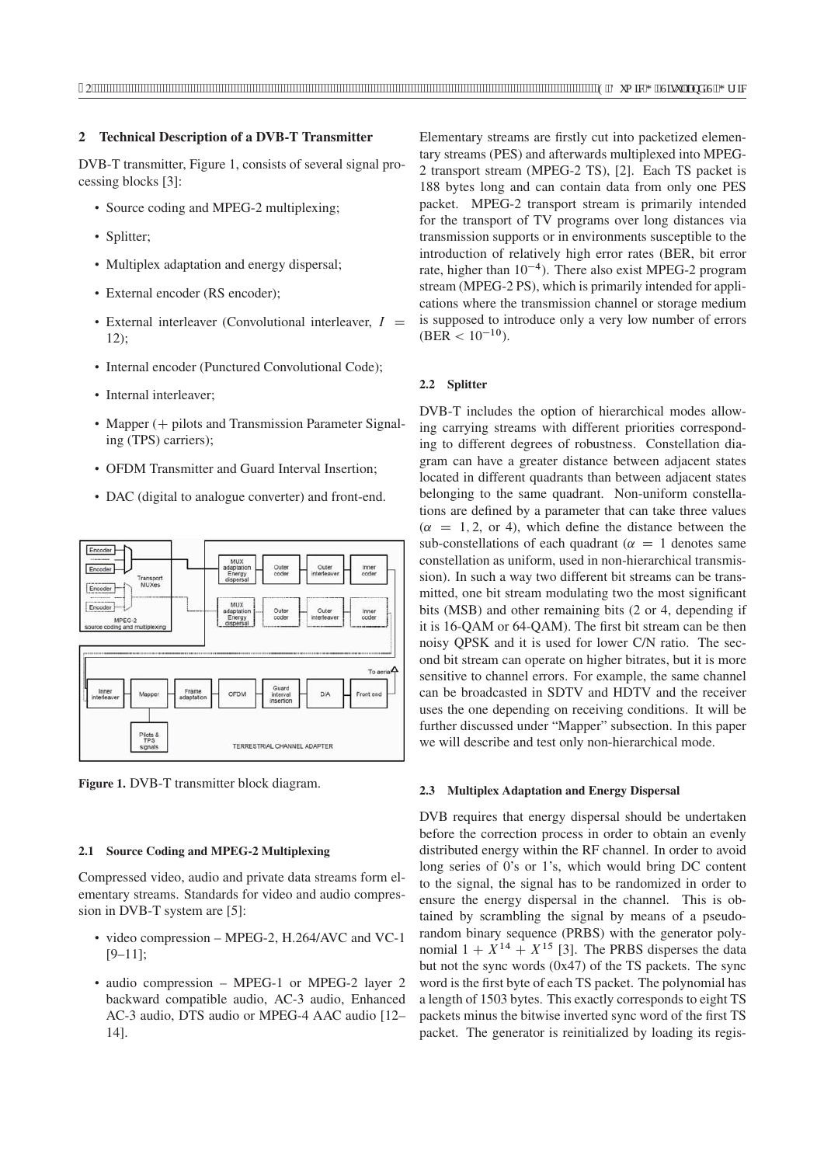# **2 Technical Description of a DVB-T Transmitter**

DVB-T transmitter, Figure 1, consists of several signal processing blocks [3]:

- Source coding and MPEG-2 multiplexing;
- Splitter;
- Multiplex adaptation and energy dispersal;
- External encoder (RS encoder);
- External interleaver (Convolutional interleaver,  $I =$ 12);
- Internal encoder (Punctured Convolutional Code);
- Internal interleaver;
- Mapper (+ pilots and Transmission Parameter Signaling (TPS) carriers);
- OFDM Transmitter and Guard Interval Insertion;
- DAC (digital to analogue converter) and front-end.



**Figure 1.** DVB-T transmitter block diagram.

#### **2.1 Source Coding and MPEG-2 Multiplexing**

Compressed video, audio and private data streams form elementary streams. Standards for video and audio compression in DVB-T system are [5]:

- video compression MPEG-2, H.264/AVC and VC-1 [9–11];
- audio compression MPEG-1 or MPEG-2 layer 2 backward compatible audio, AC-3 audio, Enhanced AC-3 audio, DTS audio or MPEG-4 AAC audio [12– 14].

Elementary streams are firstly cut into packetized elementary streams (PES) and afterwards multiplexed into MPEG-2 transport stream (MPEG-2 TS), [2]. Each TS packet is 188 bytes long and can contain data from only one PES packet. MPEG-2 transport stream is primarily intended for the transport of TV programs over long distances via transmission supports or in environments susceptible to the introduction of relatively high error rates (BER, bit error rate, higher than  $10^{-4}$ ). There also exist MPEG-2 program stream (MPEG-2 PS), which is primarily intended for applications where the transmission channel or storage medium is supposed to introduce only a very low number of errors  $(BER < 10^{-10})$ .

# **2.2 Splitter**

DVB-T includes the option of hierarchical modes allowing carrying streams with different priorities corresponding to different degrees of robustness. Constellation diagram can have a greater distance between adjacent states located in different quadrants than between adjacent states belonging to the same quadrant. Non-uniform constellations are defined by a parameter that can take three values  $(\alpha = 1, 2, \text{ or } 4)$ , which define the distance between the sub-constellations of each quadrant ( $\alpha = 1$  denotes same constellation as uniform, used in non-hierarchical transmission). In such a way two different bit streams can be transmitted, one bit stream modulating two the most significant bits (MSB) and other remaining bits (2 or 4, depending if it is 16-QAM or 64-QAM). The first bit stream can be then noisy QPSK and it is used for lower C/N ratio. The second bit stream can operate on higher bitrates, but it is more sensitive to channel errors. For example, the same channel can be broadcasted in SDTV and HDTV and the receiver uses the one depending on receiving conditions. It will be further discussed under "Mapper" subsection. In this paper we will describe and test only non-hierarchical mode.

#### **2.3 Multiplex Adaptation and Energy Dispersal**

DVB requires that energy dispersal should be undertaken before the correction process in order to obtain an evenly distributed energy within the RF channel. In order to avoid long series of 0's or 1's, which would bring DC content to the signal, the signal has to be randomized in order to ensure the energy dispersal in the channel. This is obtained by scrambling the signal by means of a pseudorandom binary sequence (PRBS) with the generator polynomial  $1 + X^{14} + X^{15}$  [3]. The PRBS disperses the data but not the sync words (0x47) of the TS packets. The sync word is the first byte of each TS packet. The polynomial has a length of 1503 bytes. This exactly corresponds to eight TS packets minus the bitwise inverted sync word of the first TS packet. The generator is reinitialized by loading its regis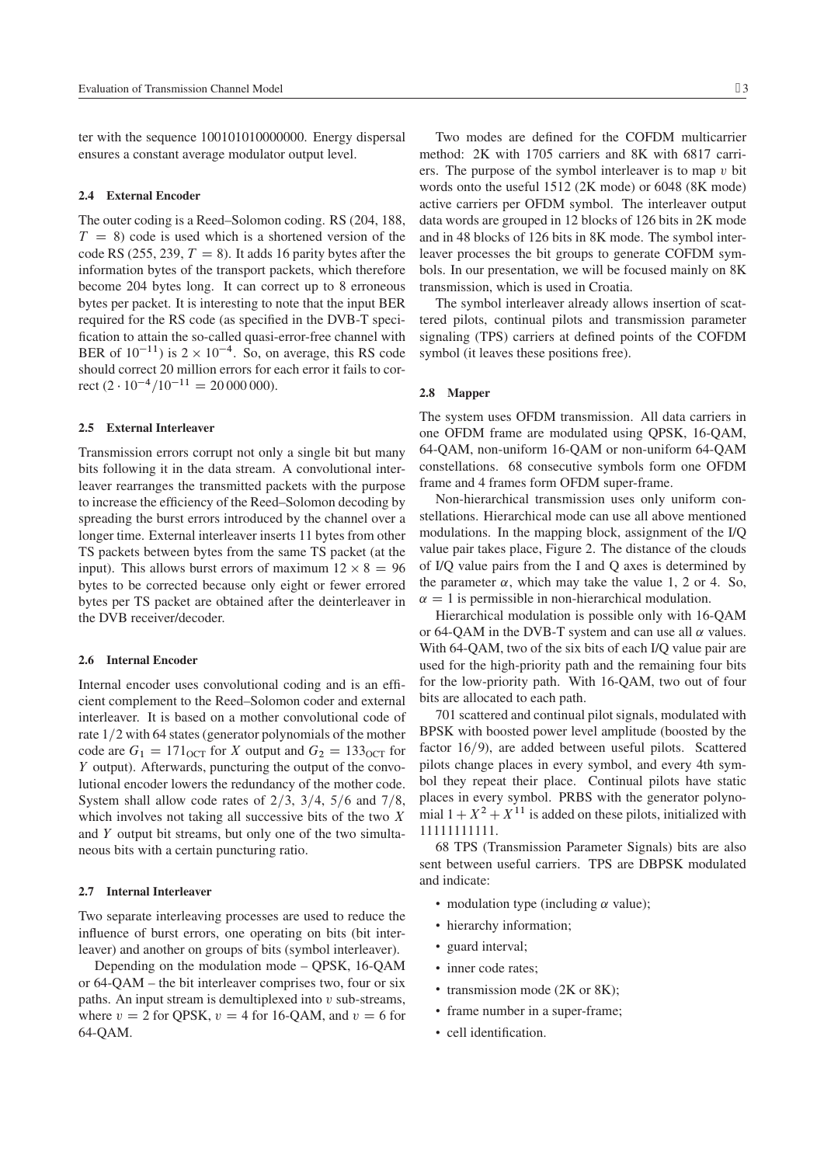ter with the sequence 100101010000000. Energy dispersal ensures a constant average modulator output level.

#### **2.4 External Encoder**

The outer coding is a Reed–Solomon coding. RS (204, 188,  $T = 8$ ) code is used which is a shortened version of the code RS (255, 239,  $T = 8$ ). It adds 16 parity bytes after the information bytes of the transport packets, which therefore become 204 bytes long. It can correct up to 8 erroneous bytes per packet. It is interesting to note that the input BER required for the RS code (as specified in the DVB-T specification to attain the so-called quasi-error-free channel with BER of  $10^{-11}$ ) is  $2 \times 10^{-4}$ . So, on average, this RS code should correct 20 million errors for each error it fails to correct  $(2 \cdot 10^{-4} / 10^{-11} = 20 000 000)$ .

#### **2.5 External Interleaver**

Transmission errors corrupt not only a single bit but many bits following it in the data stream. A convolutional interleaver rearranges the transmitted packets with the purpose to increase the efficiency of the Reed–Solomon decoding by spreading the burst errors introduced by the channel over a longer time. External interleaver inserts 11 bytes from other TS packets between bytes from the same TS packet (at the input). This allows burst errors of maximum  $12 \times 8 = 96$ bytes to be corrected because only eight or fewer errored bytes per TS packet are obtained after the deinterleaver in the DVB receiver/decoder.

## **2.6 Internal Encoder**

Internal encoder uses convolutional coding and is an efficient complement to the Reed–Solomon coder and external interleaver. It is based on a mother convolutional code of rate  $1/2$  with 64 states (generator polynomials of the mother code are  $G_1 = 171_{\text{OCT}}$  for X output and  $G_2 = 133_{\text{OCT}}$  for Y output). Afterwards, puncturing the output of the convolutional encoder lowers the redundancy of the mother code. System shall allow code rates of  $2/3$ ,  $3/4$ ,  $5/6$  and  $7/8$ , which involves not taking all successive bits of the two  $X$ and Y output bit streams, but only one of the two simultaneous bits with a certain puncturing ratio.

#### **2.7 Internal Interleaver**

Two separate interleaving processes are used to reduce the influence of burst errors, one operating on bits (bit interleaver) and another on groups of bits (symbol interleaver).

Depending on the modulation mode – QPSK, 16-QAM or 64-QAM – the bit interleaver comprises two, four or six paths. An input stream is demultiplexed into  $v$  sub-streams, where  $v = 2$  for QPSK,  $v = 4$  for 16-QAM, and  $v = 6$  for 64-QAM.

Two modes are defined for the COFDM multicarrier method: 2K with 1705 carriers and 8K with 6817 carriers. The purpose of the symbol interleaver is to map  $v$  bit words onto the useful 1512 (2K mode) or 6048 (8K mode) active carriers per OFDM symbol. The interleaver output data words are grouped in 12 blocks of 126 bits in 2K mode and in 48 blocks of 126 bits in 8K mode. The symbol interleaver processes the bit groups to generate COFDM symbols. In our presentation, we will be focused mainly on 8K transmission, which is used in Croatia.

The symbol interleaver already allows insertion of scattered pilots, continual pilots and transmission parameter signaling (TPS) carriers at defined points of the COFDM symbol (it leaves these positions free).

#### **2.8 Mapper**

The system uses OFDM transmission. All data carriers in one OFDM frame are modulated using QPSK, 16-QAM, 64-QAM, non-uniform 16-QAM or non-uniform 64-QAM constellations. 68 consecutive symbols form one OFDM frame and 4 frames form OFDM super-frame.

Non-hierarchical transmission uses only uniform constellations. Hierarchical mode can use all above mentioned modulations. In the mapping block, assignment of the I/Q value pair takes place, Figure 2. The distance of the clouds of I/Q value pairs from the I and Q axes is determined by the parameter  $\alpha$ , which may take the value 1, 2 or 4. So,  $\alpha = 1$  is permissible in non-hierarchical modulation.

Hierarchical modulation is possible only with 16-QAM or 64-QAM in the DVB-T system and can use all  $\alpha$  values. With 64-QAM, two of the six bits of each I/Q value pair are used for the high-priority path and the remaining four bits for the low-priority path. With 16-QAM, two out of four bits are allocated to each path.

701 scattered and continual pilot signals, modulated with BPSK with boosted power level amplitude (boosted by the factor  $16/9$ ), are added between useful pilots. Scattered pilots change places in every symbol, and every 4th symbol they repeat their place. Continual pilots have static places in every symbol. PRBS with the generator polynomial  $1 + X^2 + X^{11}$  is added on these pilots, initialized with 11111111111.

68 TPS (Transmission Parameter Signals) bits are also sent between useful carriers. TPS are DBPSK modulated and indicate:

- modulation type (including  $\alpha$  value);
- hierarchy information;
- guard interval;
- inner code rates;
- transmission mode (2K or 8K);
- frame number in a super-frame;
- cell identification.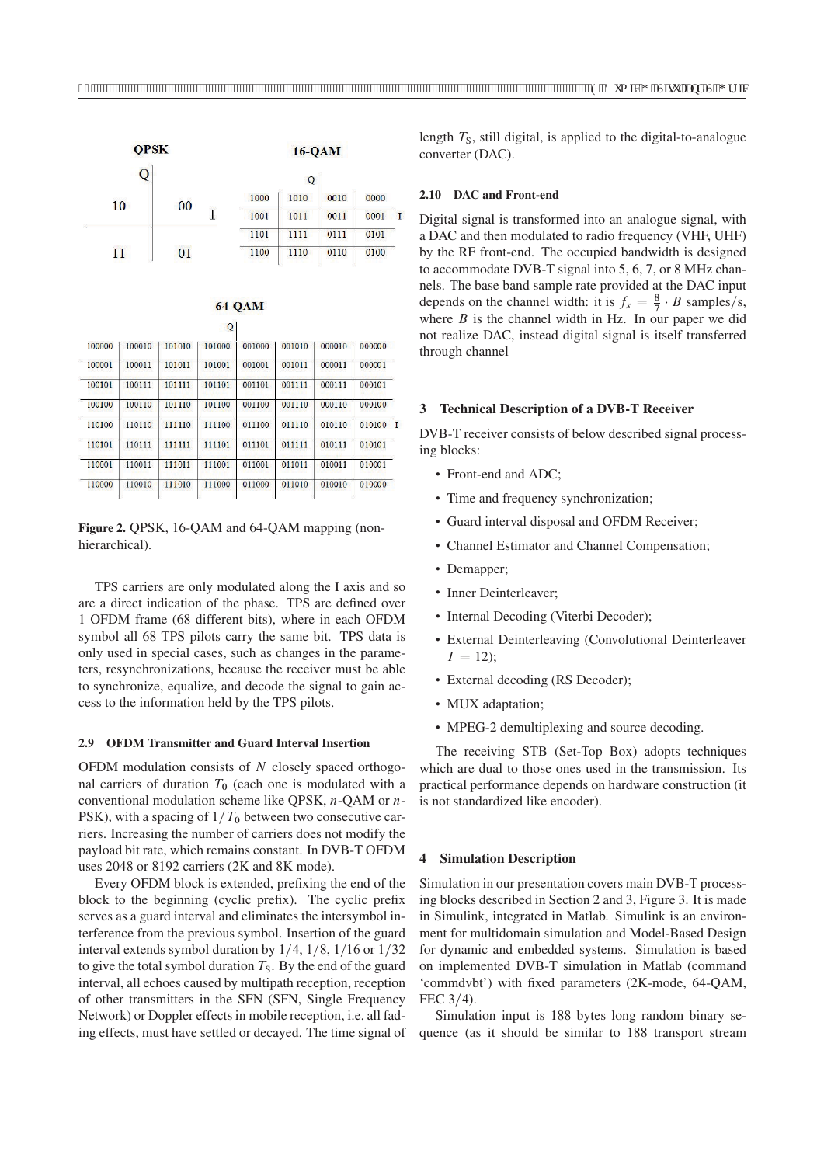

| $64-QAM$ |
|----------|
|----------|

|        |        |        | Q      |        |        |        |        |        |
|--------|--------|--------|--------|--------|--------|--------|--------|--------|
| 100000 | 100010 | 101010 | 101000 | 001000 | 001010 | 000010 | 000000 |        |
| 100001 | 100011 | 101011 | 101001 | 001001 | 001011 | 000011 | 000001 |        |
| 100101 | 100111 | 101111 | 101101 | 001101 | 001111 | 000111 | 000101 |        |
| 100100 | 100110 | 101110 | 101100 | 001100 | 001110 | 000110 | 000100 |        |
| 110100 | 110110 | 111110 | 111100 | 011100 | 011110 | 010110 |        |        |
| 110101 | 110111 | 111111 | 111101 | 011101 | 011111 | 010111 | 010101 |        |
| 110001 | 110011 | 111011 | 111001 | 011001 | 011011 | 010011 | 010001 |        |
| 110000 | 110010 | 111010 | 111000 | 011000 | 011010 | 010010 | 010000 |        |
|        |        |        |        |        |        |        |        | 010100 |

Figure 2. OPSK, 16-OAM and 64-OAM mapping (nonhierarchical).

TPS carriers are only modulated along the I axis and so are a direct indication of the phase. TPS are defined over 1 OFDM frame (68 different bits), where in each OFDM symbol all 68 TPS pilots carry the same bit. TPS data is only used in special cases, such as changes in the parameters, resynchronizations, because the receiver must be able to synchronize, equalize, and decode the signal to gain access to the information held by the TPS pilots.

#### **2.9 OFDM Transmitter and Guard Interval Insertion**

OFDM modulation consists of  $N$  closely spaced orthogonal carriers of duration  $T_0$  (each one is modulated with a conventional modulation scheme like QPSK, n-QAM or n-PSK), with a spacing of  $1/T_0$  between two consecutive carriers. Increasing the number of carriers does not modify the payload bit rate, which remains constant. In DVB-T OFDM uses 2048 or 8192 carriers (2K and 8K mode).

Every OFDM block is extended, prefixing the end of the block to the beginning (cyclic prefix). The cyclic prefix serves as a guard interval and eliminates the intersymbol interference from the previous symbol. Insertion of the guard interval extends symbol duration by  $1/4$ ,  $1/8$ ,  $1/16$  or  $1/32$ to give the total symbol duration  $T<sub>S</sub>$ . By the end of the guard interval, all echoes caused by multipath reception, reception of other transmitters in the SFN (SFN, Single Frequency Network) or Doppler effects in mobile reception, i.e. all fading effects, must have settled or decayed. The time signal of

length  $T<sub>S</sub>$ , still digital, is applied to the digital-to-analogue converter (DAC).

## **2.10 DAC and Front-end**

Digital signal is transformed into an analogue signal, with a DAC and then modulated to radio frequency (VHF, UHF) by the RF front-end. The occupied bandwidth is designed to accommodate DVB-T signal into 5, 6, 7, or 8 MHz channels. The base band sample rate provided at the DAC input depends on the channel width: it is  $f_s = \frac{8}{7} \cdot B$  samples/s, where  $B$  is the channel width in Hz. In our paper we did not realize DAC, instead digital signal is itself transferred through channel

#### **3 Technical Description of a DVB-T Receiver**

DVB-T receiver consists of below described signal processing blocks:

- Front-end and ADC;
- Time and frequency synchronization;
- Guard interval disposal and OFDM Receiver;
- Channel Estimator and Channel Compensation;
- Demapper;
- Inner Deinterleaver;
- Internal Decoding (Viterbi Decoder);
- External Deinterleaving (Convolutional Deinterleaver  $I = 12$ :
- External decoding (RS Decoder);
- MUX adaptation;
- MPEG-2 demultiplexing and source decoding.

The receiving STB (Set-Top Box) adopts techniques which are dual to those ones used in the transmission. Its practical performance depends on hardware construction (it is not standardized like encoder).

# **4 Simulation Description**

Simulation in our presentation covers main DVB-T processing blocks described in Section 2 and 3, Figure 3. It is made in Simulink, integrated in Matlab. Simulink is an environment for multidomain simulation and Model-Based Design for dynamic and embedded systems. Simulation is based on implemented DVB-T simulation in Matlab (command 'commdvbt') with fixed parameters (2K-mode, 64-QAM, FEC  $3/4$ ).

Simulation input is 188 bytes long random binary sequence (as it should be similar to 188 transport stream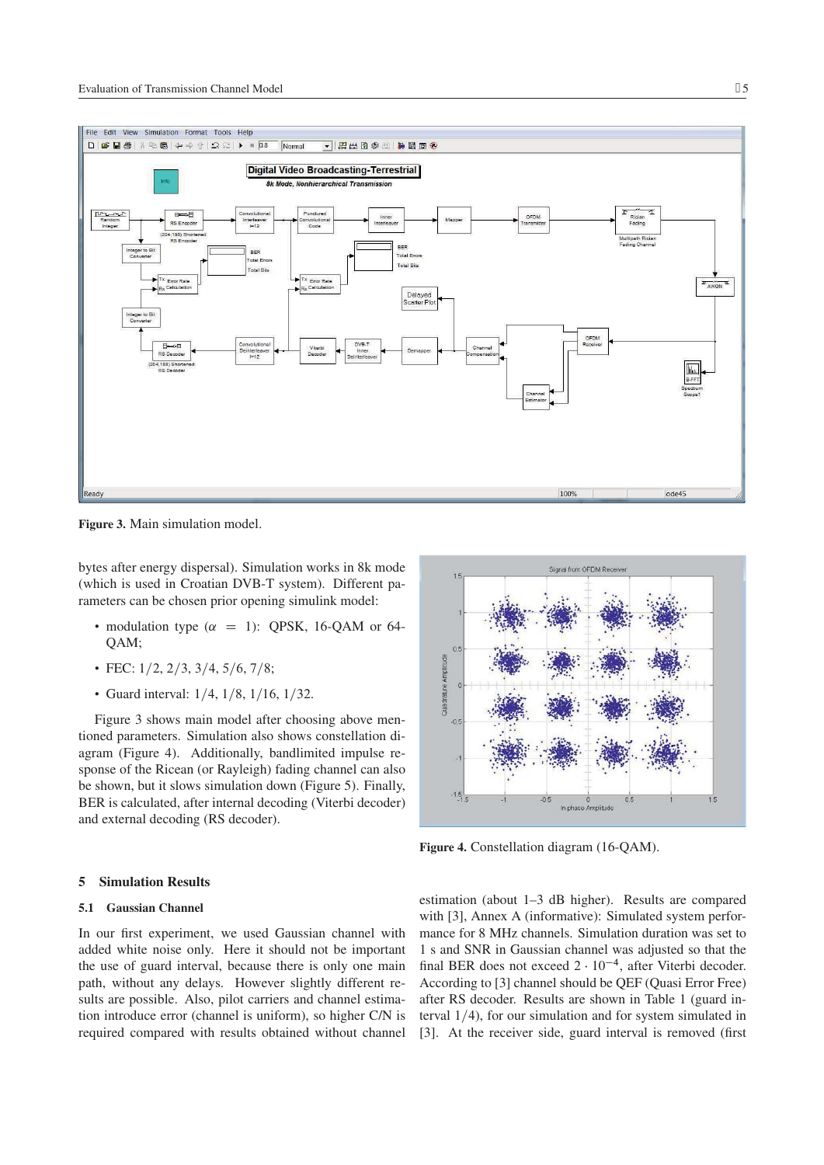

**Figure 3.** Main simulation model.

bytes after energy dispersal). Simulation works in 8k mode (which is used in Croatian DVB-T system). Different parameters can be chosen prior opening simulink model:

- modulation type  $(\alpha = 1)$ : QPSK, 16-QAM or 64-QAM;
- FEC:  $1/2$ ,  $2/3$ ,  $3/4$ ,  $5/6$ ,  $7/8$ ;

**5 Simulation Results 5.1 Gaussian Channel**

• Guard interval:  $1/4$ ,  $1/8$ ,  $1/16$ ,  $1/32$ .

Figure 3 shows main model after choosing above mentioned parameters. Simulation also shows constellation diagram (Figure 4). Additionally, bandlimited impulse response of the Ricean (or Rayleigh) fading channel can also be shown, but it slows simulation down (Figure 5). Finally, BER is calculated, after internal decoding (Viterbi decoder) and external decoding (RS decoder).



**Figure 4.** Constellation diagram (16-QAM).

# In our first experiment, we used Gaussian channel with added white noise only. Here it should not be important the use of guard interval, because there is only one main path, without any delays. However slightly different results are possible. Also, pilot carriers and channel estimation introduce error (channel is uniform), so higher C/N is required compared with results obtained without channel

estimation (about 1–3 dB higher). Results are compared with [3], Annex A (informative): Simulated system performance for 8 MHz channels. Simulation duration was set to 1 s and SNR in Gaussian channel was adjusted so that the final BER does not exceed  $2 \cdot 10^{-4}$ , after Viterbi decoder. According to [3] channel should be QEF (Quasi Error Free) after RS decoder. Results are shown in Table 1 (guard interval  $1/4$ ), for our simulation and for system simulated in [3]. At the receiver side, guard interval is removed (first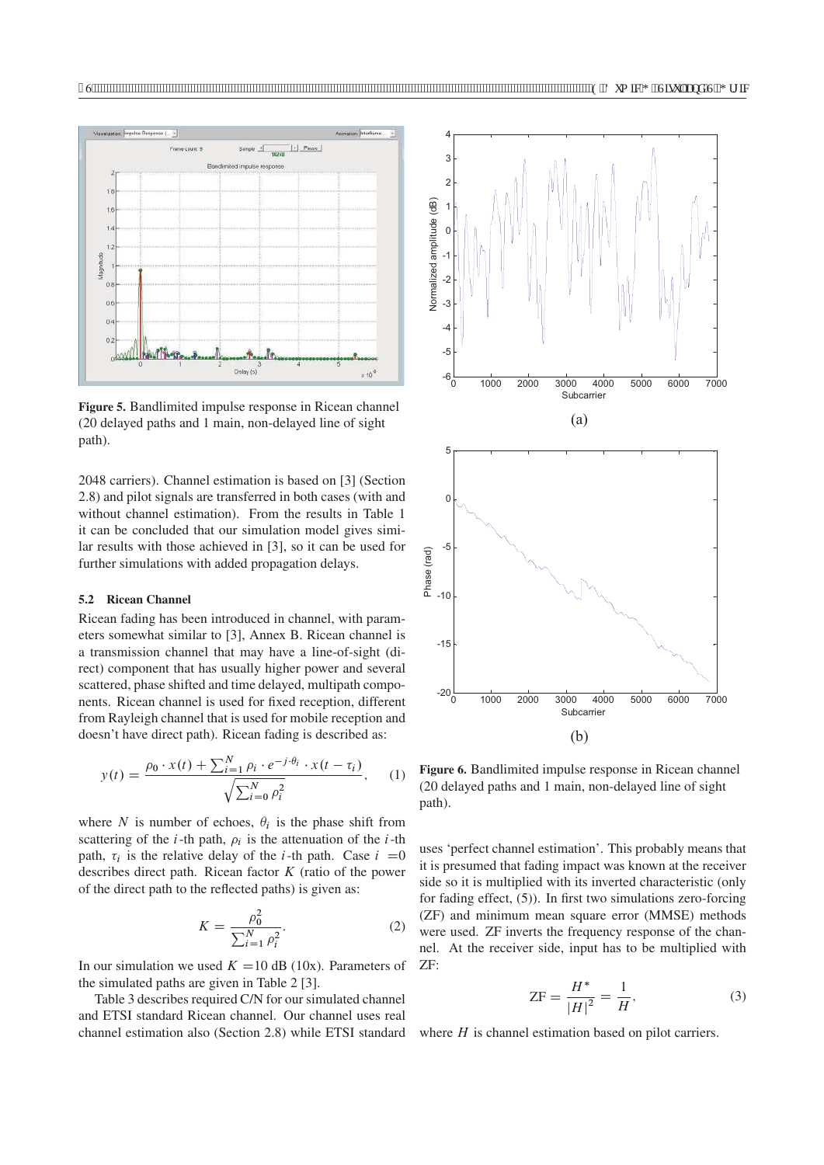

**Figure 5.** Bandlimited impulse response in Ricean channel (20 delayed paths and 1 main, non-delayed line of sight path).

2048 carriers). Channel estimation is based on [3] (Section 2.8) and pilot signals are transferred in both cases (with and without channel estimation). From the results in Table 1 it can be concluded that our simulation model gives similar results with those achieved in [3], so it can be used for further simulations with added propagation delays.

## **5.2 Ricean Channel**

Ricean fading has been introduced in channel, with parameters somewhat similar to [3], Annex B. Ricean channel is a transmission channel that may have a line-of-sight (direct) component that has usually higher power and several scattered, phase shifted and time delayed, multipath components. Ricean channel is used for fixed reception, different from Rayleigh channel that is used for mobile reception and doesn't have direct path). Ricean fading is described as:

$$
y(t) = \frac{\rho_0 \cdot x(t) + \sum_{i=1}^{N} \rho_i \cdot e^{-j \cdot \theta_i} \cdot x(t - \tau_i)}{\sqrt{\sum_{i=0}^{N} \rho_i^2}}, \quad (1)
$$

where N is number of echoes,  $\theta_i$  is the phase shift from scattering of the *i*-th path,  $\rho_i$  is the attenuation of the *i*-th path,  $\tau_i$  is the relative delay of the *i*-th path. Case  $i = 0$ describes direct path. Ricean factor  $K$  (ratio of the power of the direct path to the reflected paths) is given as:

$$
K = \frac{\rho_0^2}{\sum_{i=1}^N \rho_i^2}.
$$
 (2)

In our simulation we used  $K = 10$  dB (10x). Parameters of the simulated paths are given in Table 2 [3].

Table 3 describes required C/N for our simulated channel and ETSI standard Ricean channel. Our channel uses real channel estimation also (Section 2.8) while ETSI standard



**Figure 6.** Bandlimited impulse response in Ricean channel (20 delayed paths and 1 main, non-delayed line of sight path).

uses 'perfect channel estimation'. This probably means that it is presumed that fading impact was known at the receiver side so it is multiplied with its inverted characteristic (only for fading effect, (5)). In first two simulations zero-forcing (ZF) and minimum mean square error (MMSE) methods were used. ZF inverts the frequency response of the channel. At the receiver side, input has to be multiplied with ZF:

$$
ZF = \frac{H^*}{|H|^2} = \frac{1}{H},
$$
\n(3)

where  $H$  is channel estimation based on pilot carriers.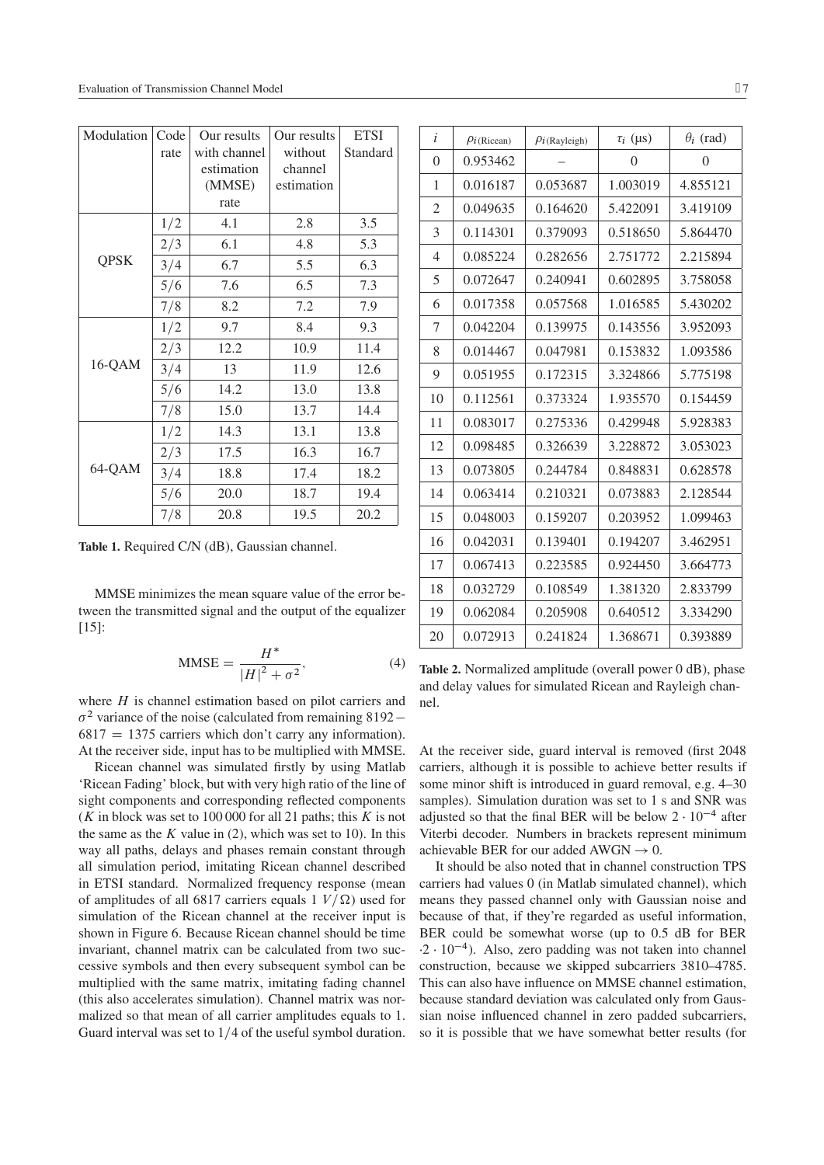| Modulation  | Code | Our results  | Our results | <b>ETSI</b> |
|-------------|------|--------------|-------------|-------------|
|             | rate | with channel | without     | Standard    |
|             |      | estimation   | channel     |             |
|             |      | (MMSE)       | estimation  |             |
|             |      | rate         |             |             |
|             | 1/2  | 4.1          | 2.8         | 3.5         |
| <b>QPSK</b> | 2/3  | 6.1          | 4.8         | 5.3         |
|             | 3/4  | 6.7          | 5.5         | 6.3         |
|             | 5/6  | 7.6          | 6.5         | 7.3         |
|             | 7/8  | 8.2          | 7.2         | 7.9         |
|             | 1/2  | 9.7          | 8.4         | 9.3         |
|             | 2/3  | 12.2         | 10.9        | 11.4        |
| 16-QAM      | 3/4  | 13           | 11.9        | 12.6        |
|             | 5/6  | 14.2         | 13.0        | 13.8        |
|             | 7/8  | 15.0         | 13.7        | 14.4        |
|             | 1/2  | 14.3         | 13.1        | 13.8        |
|             | 2/3  | 17.5         | 16.3        | 16.7        |
| 64-QAM      | 3/4  | 18.8         | 17.4        | 18.2        |
|             | 5/6  | 20.0         | 18.7        | 19.4        |
|             | 7/8  | 20.8         | 19.5        | 20.2        |

**Table 1.** Required C/N (dB), Gaussian channel.

MMSE minimizes the mean square value of the error between the transmitted signal and the output of the equalizer [15]:

$$
MMSE = \frac{H^*}{|H|^2 + \sigma^2},\tag{4}
$$

where  $H$  is channel estimation based on pilot carriers and  $\sigma^2$  variance of the noise (calculated from remaining 8192 –  $6817 = 1375$  carriers which don't carry any information). At the receiver side, input has to be multiplied with MMSE.

Ricean channel was simulated firstly by using Matlab 'Ricean Fading' block, but with very high ratio of the line of sight components and corresponding reflected components (K in block was set to 100 000 for all 21 paths; this K is not the same as the  $K$  value in (2), which was set to 10). In this way all paths, delays and phases remain constant through all simulation period, imitating Ricean channel described in ETSI standard. Normalized frequency response (mean of amplitudes of all 6817 carriers equals 1  $V/\Omega$ ) used for simulation of the Ricean channel at the receiver input is shown in Figure 6. Because Ricean channel should be time invariant, channel matrix can be calculated from two successive symbols and then every subsequent symbol can be multiplied with the same matrix, imitating fading channel (this also accelerates simulation). Channel matrix was normalized so that mean of all carrier amplitudes equals to 1. Guard interval was set to  $1/4$  of the useful symbol duration.

| i              | $\rho_i$ (Ricean) | $\rho_{i}$ (Rayleigh) | $\tau_i$ (µs) | $\theta_i$ (rad) |
|----------------|-------------------|-----------------------|---------------|------------------|
| $\theta$       | 0.953462          |                       | $\theta$      | 0                |
| 1              | 0.016187          | 0.053687              | 1.003019      | 4.855121         |
| 2              | 0.049635          | 0.164620              | 5.422091      | 3.419109         |
| 3              | 0.114301          | 0.379093              | 0.518650      | 5.864470         |
| $\overline{4}$ | 0.085224          | 0.282656              | 2.751772      | 2.215894         |
| 5              | 0.072647          | 0.240941              | 0.602895      | 3.758058         |
| 6              | 0.017358          | 0.057568              | 1.016585      | 5.430202         |
| 7              | 0.042204          | 0.139975              | 0.143556      | 3.952093         |
| 8              | 0.014467          | 0.047981              | 0.153832      | 1.093586         |
| 9              | 0.051955          | 0.172315              | 3.324866      | 5.775198         |
| 10             | 0.112561          | 0.373324              | 1.935570      | 0.154459         |
| 11             | 0.083017          | 0.275336              | 0.429948      | 5.928383         |
| 12             | 0.098485          | 0.326639              | 3.228872      | 3.053023         |
| 13             | 0.073805          | 0.244784              | 0.848831      | 0.628578         |
| 14             | 0.063414          | 0.210321              | 0.073883      | 2.128544         |
| 15             | 0.048003          | 0.159207              | 0.203952      | 1.099463         |
| 16             | 0.042031          | 0.139401              | 0.194207      | 3.462951         |
| 17             | 0.067413          | 0.223585              | 0.924450      | 3.664773         |
| 18             | 0.032729          | 0.108549              | 1.381320      | 2.833799         |
| 19             | 0.062084          | 0.205908              | 0.640512      | 3.334290         |
| 20             | 0.072913          | 0.241824              | 1.368671      | 0.393889         |

**Table 2.** Normalized amplitude (overall power 0 dB), phase and delay values for simulated Ricean and Rayleigh channel.

At the receiver side, guard interval is removed (first 2048 carriers, although it is possible to achieve better results if some minor shift is introduced in guard removal, e.g. 4–30 samples). Simulation duration was set to 1 s and SNR was adjusted so that the final BER will be below  $2 \cdot 10^{-4}$  after Viterbi decoder. Numbers in brackets represent minimum achievable BER for our added  $AWGN \rightarrow 0$ .

It should be also noted that in channel construction TPS carriers had values 0 (in Matlab simulated channel), which means they passed channel only with Gaussian noise and because of that, if they're regarded as useful information, BER could be somewhat worse (up to 0.5 dB for BER  $\cdot 2 \cdot 10^{-4}$ ). Also, zero padding was not taken into channel construction, because we skipped subcarriers 3810–4785. This can also have influence on MMSE channel estimation, because standard deviation was calculated only from Gaussian noise influenced channel in zero padded subcarriers, so it is possible that we have somewhat better results (for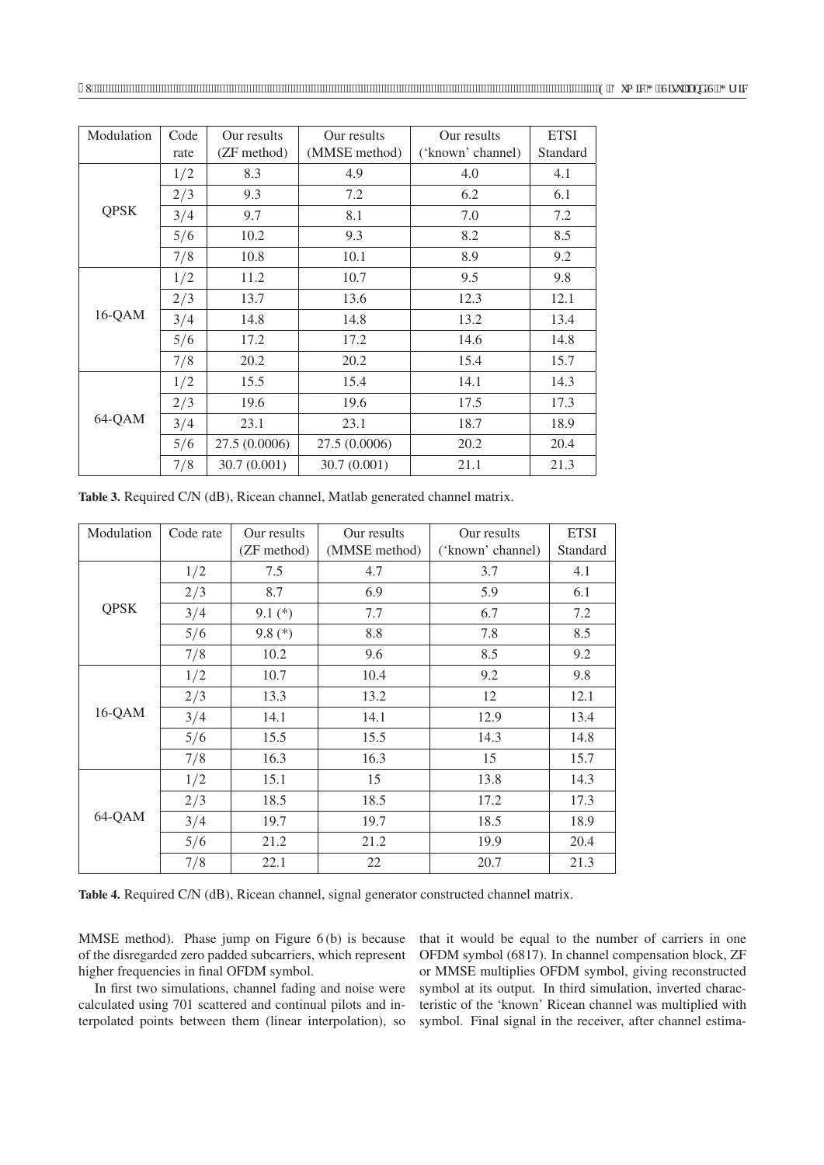| Modulation  | Code<br>rate | Our results<br>(ZF method) | Our results<br>(MMSE method) | Our results<br>('known' channel) | <b>ETSI</b><br>Standard |
|-------------|--------------|----------------------------|------------------------------|----------------------------------|-------------------------|
|             | 1/2          | 8.3                        | 4.9                          | 4.0                              | 4.1                     |
|             | 2/3          | 9.3                        | 7.2                          | 6.2                              | 6.1                     |
| <b>QPSK</b> | 3/4          | 9.7                        | 8.1                          | 7.0                              | 7.2                     |
|             | 5/6          | 10.2                       | 9.3                          | 8.2                              | 8.5                     |
|             | 7/8          | 10.8                       | 10.1                         | 8.9                              | 9.2                     |
|             | 1/2          | 11.2                       | 10.7                         | 9.5                              | 9.8                     |
|             | 2/3          | 13.7                       | 13.6                         | 12.3                             | 12.1                    |
| $16-QAM$    | 3/4          | 14.8                       | 14.8                         | 13.2                             | 13.4                    |
|             | 5/6          | 17.2                       | 17.2                         | 14.6                             | 14.8                    |
|             | 7/8          | 20.2                       | 20.2                         | 15.4                             | 15.7                    |
|             | 1/2          | 15.5                       | 15.4                         | 14.1                             | 14.3                    |
| 64-QAM      | 2/3          | 19.6                       | 19.6                         | 17.5                             | 17.3                    |
|             | 3/4          | 23.1                       | 23.1                         | 18.7                             | 18.9                    |
|             | 5/6          | 27.5 (0.0006)              | 27.5 (0.0006)                | 20.2                             | 20.4                    |
|             | 7/8          | 30.7(0.001)                | 30.7(0.001)                  | 21.1                             | 21.3                    |

**Table 3.** Required C/N (dB), Ricean channel, Matlab generated channel matrix.

| Modulation  | Code rate | Our results<br>(ZF method) | Our results<br>(MMSE method) | Our results<br>('known' channel) | <b>ETSI</b><br>Standard |
|-------------|-----------|----------------------------|------------------------------|----------------------------------|-------------------------|
|             | 1/2       | 7.5                        | 4.7                          | 3.7                              | 4.1                     |
|             | 2/3       | 8.7                        | 6.9                          | 5.9                              | 6.1                     |
| <b>QPSK</b> | 3/4       | $9.1(*)$                   | 7.7                          | 6.7                              | 7.2                     |
|             | 5/6       | 9.8 $(*)$                  | 8.8                          | 7.8                              | 8.5                     |
|             | 7/8       | 10.2                       | 9.6                          | 8.5                              | 9.2                     |
| $16-QAM$    | 1/2       | 10.7                       | 10.4                         | 9.2                              | 9.8                     |
|             | 2/3       | 13.3                       | 13.2                         | 12                               | 12.1                    |
|             | 3/4       | 14.1                       | 14.1                         | 12.9                             | 13.4                    |
|             | 5/6       | 15.5                       | 15.5                         | 14.3                             | 14.8                    |
|             | 7/8       | 16.3                       | 16.3                         | 15                               | 15.7                    |
|             | 1/2       | 15.1                       | 15                           | 13.8                             | 14.3                    |
|             | 2/3       | 18.5                       | 18.5                         | 17.2                             | 17.3                    |
| 64-QAM      | 3/4       | 19.7                       | 19.7                         | 18.5                             | 18.9                    |
|             | 5/6       | 21.2                       | 21.2                         | 19.9                             | 20.4                    |
|             | 7/8       | 22.1                       | 22                           | 20.7                             | 21.3                    |

**Table 4.** Required C/N (dB), Ricean channel, signal generator constructed channel matrix.

MMSE method). Phase jump on Figure 6 (b) is because of the disregarded zero padded subcarriers, which represent higher frequencies in final OFDM symbol.

In first two simulations, channel fading and noise were calculated using 701 scattered and continual pilots and interpolated points between them (linear interpolation), so that it would be equal to the number of carriers in one OFDM symbol (6817). In channel compensation block, ZF or MMSE multiplies OFDM symbol, giving reconstructed symbol at its output. In third simulation, inverted characteristic of the 'known' Ricean channel was multiplied with symbol. Final signal in the receiver, after channel estima-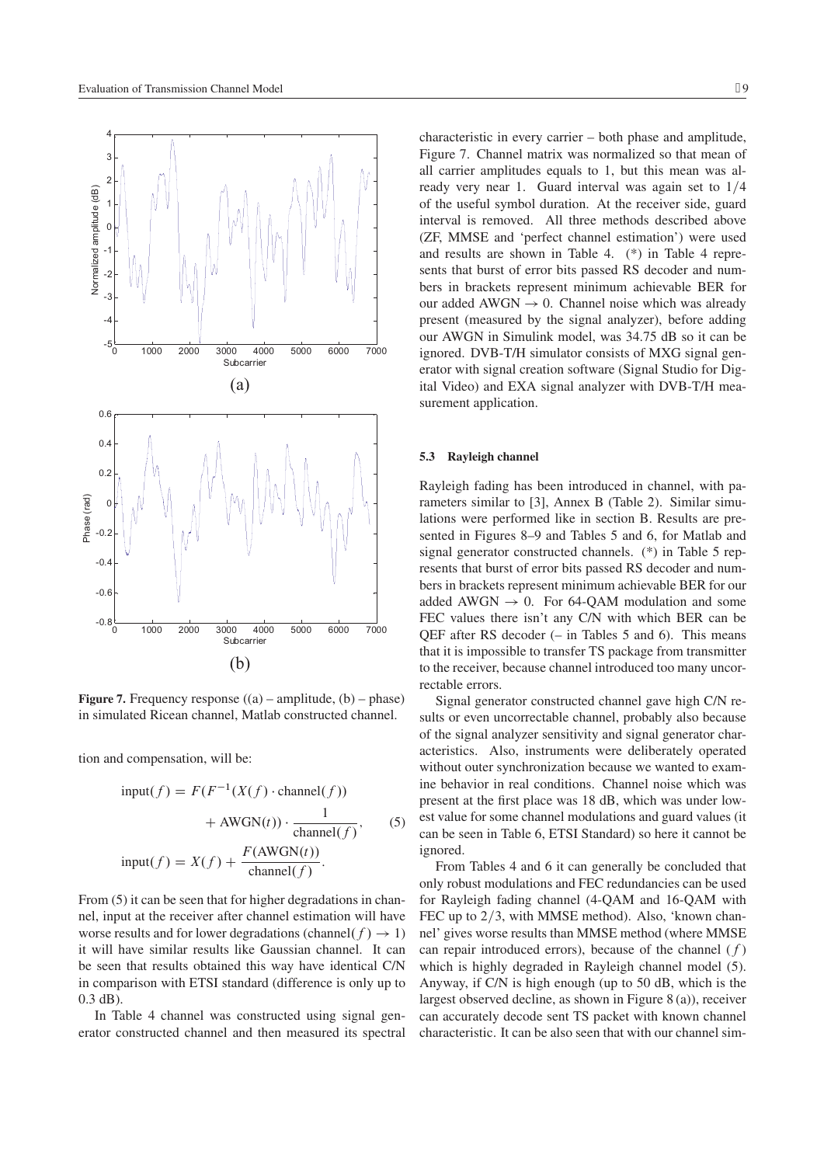

**Figure 7.** Frequency response  $((a)$  – amplitude,  $(b)$  – phase) in simulated Ricean channel, Matlab constructed channel.

tion and compensation, will be:

$$
input(f) = F(F^{-1}(X(f) \cdot channel(f)) + AWGN(t)) \cdot \frac{1}{channel(f)},
$$
\n
$$
input(f) = X(f) + \frac{F(AWGN(t))}{channel(f)}.
$$
\n(5)

From  $(5)$  it can be seen that for higher degradations in channel, input at the receiver after channel estimation will have worse results and for lower degradations (channel( $f$ )  $\rightarrow$  1) it will have similar results like Gaussian channel. It can be seen that results obtained this way have identical C/N in comparison with ETSI standard (difference is only up to 0.3 dB).

In Table 4 channel was constructed using signal generator constructed channel and then measured its spectral

characteristic in every carrier – both phase and amplitude, Figure 7. Channel matrix was normalized so that mean of all carrier amplitudes equals to 1, but this mean was already very near 1. Guard interval was again set to  $1/4$ of the useful symbol duration. At the receiver side, guard interval is removed. All three methods described above (ZF, MMSE and 'perfect channel estimation') were used and results are shown in Table 4. (\*) in Table 4 represents that burst of error bits passed RS decoder and numbers in brackets represent minimum achievable BER for our added  $AWGN \rightarrow 0$ . Channel noise which was already present (measured by the signal analyzer), before adding our AWGN in Simulink model, was 34.75 dB so it can be ignored. DVB-T/H simulator consists of MXG signal generator with signal creation software (Signal Studio for Digital Video) and EXA signal analyzer with DVB-T/H measurement application.

#### **5.3 Rayleigh channel**

Rayleigh fading has been introduced in channel, with parameters similar to [3], Annex B (Table 2). Similar simulations were performed like in section B. Results are presented in Figures 8–9 and Tables 5 and 6, for Matlab and signal generator constructed channels. (\*) in Table 5 represents that burst of error bits passed RS decoder and numbers in brackets represent minimum achievable BER for our added AWGN  $\rightarrow$  0. For 64-OAM modulation and some FEC values there isn't any C/N with which BER can be QEF after RS decoder (– in Tables 5 and 6). This means that it is impossible to transfer TS package from transmitter to the receiver, because channel introduced too many uncorrectable errors.

Signal generator constructed channel gave high C/N results or even uncorrectable channel, probably also because of the signal analyzer sensitivity and signal generator characteristics. Also, instruments were deliberately operated without outer synchronization because we wanted to examine behavior in real conditions. Channel noise which was present at the first place was 18 dB, which was under lowest value for some channel modulations and guard values (it can be seen in Table 6, ETSI Standard) so here it cannot be ignored.

From Tables 4 and 6 it can generally be concluded that only robust modulations and FEC redundancies can be used for Rayleigh fading channel (4-QAM and 16-QAM with FEC up to  $2/3$ , with MMSE method). Also, 'known channel' gives worse results than MMSE method (where MMSE can repair introduced errors), because of the channel  $(f)$ which is highly degraded in Rayleigh channel model (5). Anyway, if C/N is high enough (up to 50 dB, which is the largest observed decline, as shown in Figure 8 (a)), receiver can accurately decode sent TS packet with known channel characteristic. It can be also seen that with our channel sim-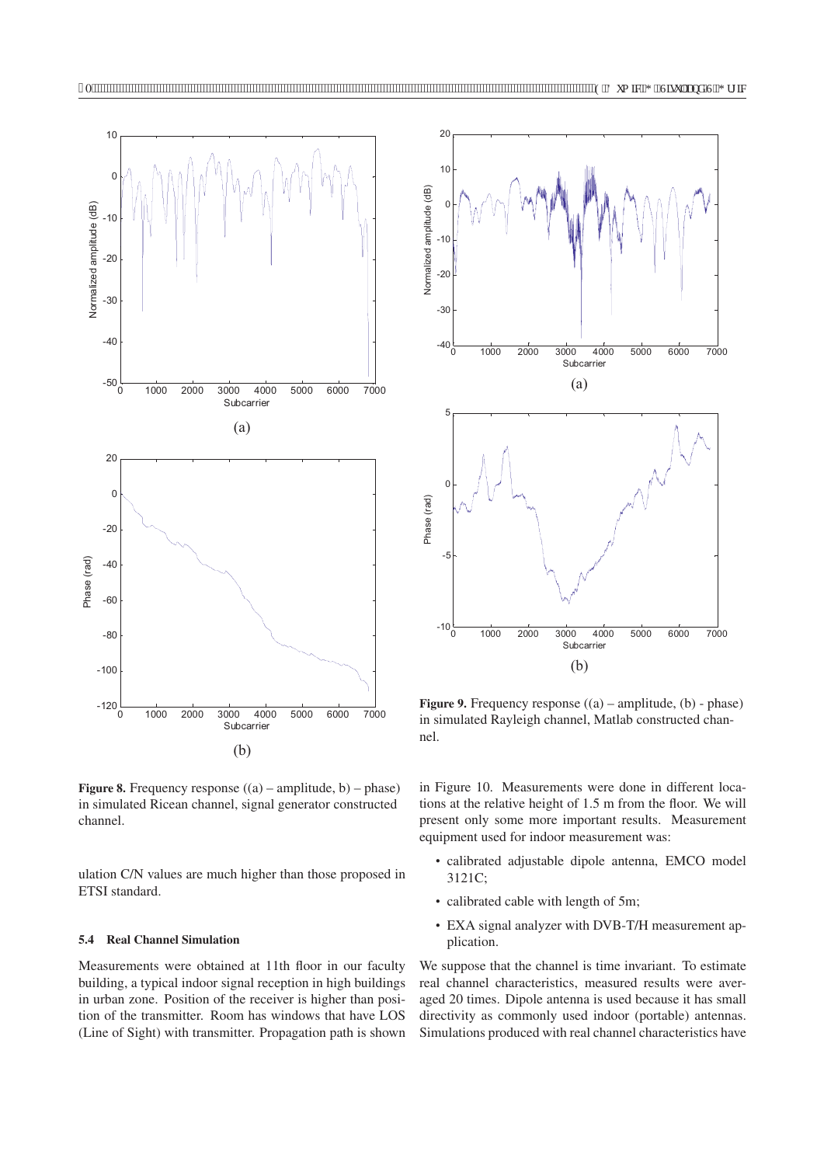

**Figure 8.** Frequency response ((a) – amplitude, b) – phase) in simulated Ricean channel, signal generator constructed channel.

ulation C/N values are much higher than those proposed in ETSI standard.

# **5.4 Real Channel Simulation**

Measurements were obtained at 11th floor in our faculty building, a typical indoor signal reception in high buildings in urban zone. Position of the receiver is higher than position of the transmitter. Room has windows that have LOS (Line of Sight) with transmitter. Propagation path is shown



**Figure 9.** Frequency response  $((a)$  – amplitude,  $(b)$  - phase) in simulated Rayleigh channel, Matlab constructed channel.

in Figure 10. Measurements were done in different locations at the relative height of 1.5 m from the floor. We will present only some more important results. Measurement equipment used for indoor measurement was:

- calibrated adjustable dipole antenna, EMCO model 3121C;
- calibrated cable with length of 5m;
- EXA signal analyzer with DVB-T/H measurement application.

We suppose that the channel is time invariant. To estimate real channel characteristics, measured results were averaged 20 times. Dipole antenna is used because it has small directivity as commonly used indoor (portable) antennas. Simulations produced with real channel characteristics have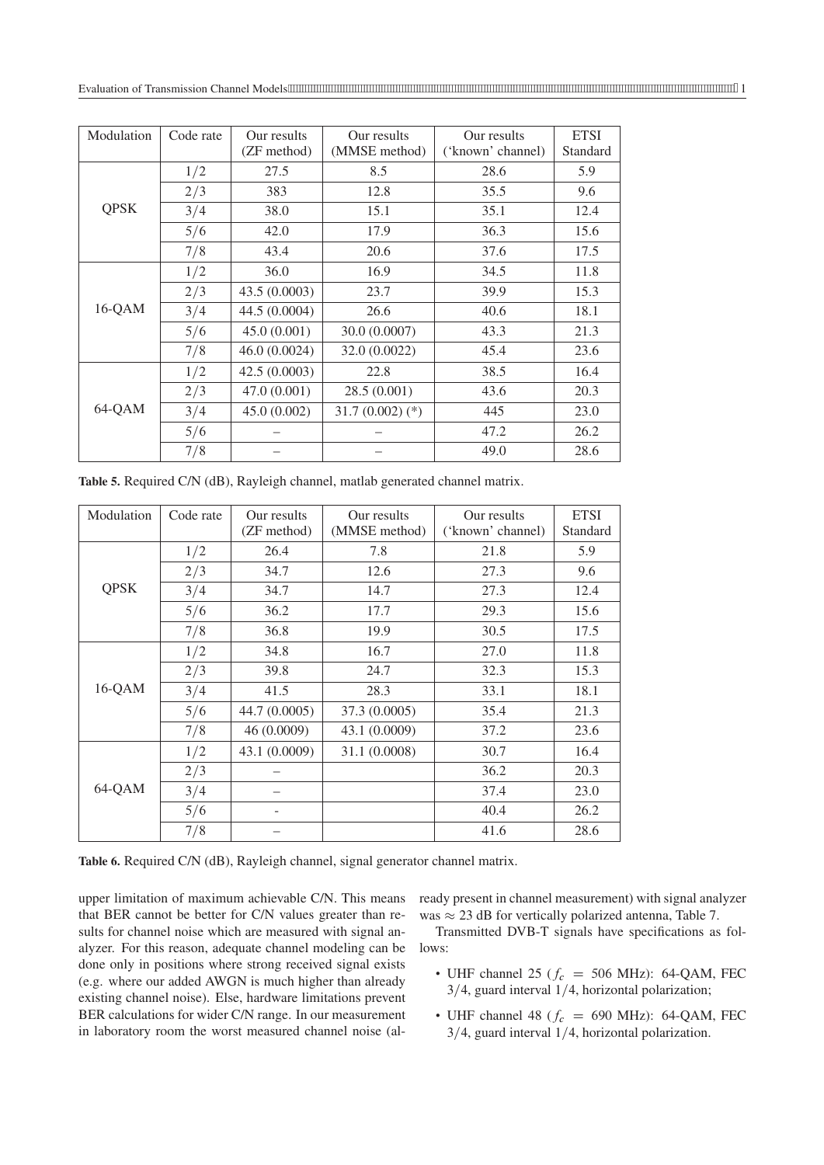| Modulation  | Code rate | Our results<br>(ZF method) | Our results<br>(MMSE method) | Our results<br>('known' channel) | <b>ETSI</b><br>Standard |
|-------------|-----------|----------------------------|------------------------------|----------------------------------|-------------------------|
| <b>QPSK</b> | 1/2       | 27.5                       | 8.5                          | 28.6                             | 5.9                     |
|             | 2/3       | 383                        | 12.8                         | 35.5                             | 9.6                     |
|             | 3/4       | 38.0                       | 15.1                         | 35.1                             | 12.4                    |
|             | 5/6       | 42.0                       | 17.9                         | 36.3                             | 15.6                    |
|             | 7/8       | 43.4                       | 20.6                         | 37.6                             | 17.5                    |
|             | 1/2       | 36.0                       | 16.9                         | 34.5                             | 11.8                    |
|             | 2/3       | 43.5(0.0003)               | 23.7                         | 39.9                             | 15.3                    |
| $16-QAM$    | 3/4       | 44.5 (0.0004)              | 26.6                         | 40.6                             | 18.1                    |
|             | 5/6       | 45.0(0.001)                | 30.0 (0.0007)                | 43.3                             | 21.3                    |
|             | 7/8       | 46.0 (0.0024)              | 32.0 (0.0022)                | 45.4                             | 23.6                    |
|             | 1/2       | 42.5(0.0003)               | 22.8                         | 38.5                             | 16.4                    |
|             | 2/3       | 47.0(0.001)                | 28.5(0.001)                  | 43.6                             | 20.3                    |
| 64-QAM      | 3/4       | 45.0(0.002)                | $31.7(0.002)(*)$             | 445                              | 23.0                    |
|             | 5/6       |                            |                              | 47.2                             | 26.2                    |
|             | 7/8       |                            |                              | 49.0                             | 28.6                    |

**Table 5.** Required C/N (dB), Rayleigh channel, matlab generated channel matrix.

| Modulation  | Code rate | Our results<br>(ZF method) | Our results<br>(MMSE method) | Our results<br>('known' channel) | <b>ETSI</b><br>Standard |
|-------------|-----------|----------------------------|------------------------------|----------------------------------|-------------------------|
| <b>QPSK</b> | 1/2       | 26.4                       | 7.8                          | 21.8                             | 5.9                     |
|             | 2/3       | 34.7                       | 12.6                         | 27.3                             | 9.6                     |
|             | 3/4       | 34.7                       | 14.7                         | 27.3                             | 12.4                    |
|             | 5/6       | 36.2                       | 17.7                         | 29.3                             | 15.6                    |
|             | 7/8       | 36.8                       | 19.9                         | 30.5                             | 17.5                    |
|             | 1/2       | 34.8                       | 16.7                         | 27.0                             | 11.8                    |
|             | 2/3       | 39.8                       | 24.7                         | 32.3                             | 15.3                    |
| $16-QAM$    | 3/4       | 41.5                       | 28.3                         | 33.1                             | 18.1                    |
|             | 5/6       | 44.7 (0.0005)              | 37.3 (0.0005)                | 35.4                             | 21.3                    |
|             | 7/8       | 46 (0.0009)                | 43.1 (0.0009)                | 37.2                             | 23.6                    |
|             | 1/2       | 43.1 (0.0009)              | 31.1 (0.0008)                | 30.7                             | 16.4                    |
|             | 2/3       |                            |                              | 36.2                             | 20.3                    |
| 64-QAM      | 3/4       |                            |                              | 37.4                             | 23.0                    |
|             | 5/6       |                            |                              | 40.4                             | 26.2                    |
|             | 7/8       |                            |                              | 41.6                             | 28.6                    |

**Table 6.** Required C/N (dB), Rayleigh channel, signal generator channel matrix.

upper limitation of maximum achievable C/N. This means that BER cannot be better for C/N values greater than results for channel noise which are measured with signal analyzer. For this reason, adequate channel modeling can be done only in positions where strong received signal exists (e.g. where our added AWGN is much higher than already existing channel noise). Else, hardware limitations prevent BER calculations for wider C/N range. In our measurement in laboratory room the worst measured channel noise (already present in channel measurement) with signal analyzer was  $\approx$  23 dB for vertically polarized antenna, Table 7.

Transmitted DVB-T signals have specifications as follows:

- UHF channel 25 ( $f_c$  = 506 MHz): 64-QAM, FEC  $3/4$ , guard interval  $1/4$ , horizontal polarization;
- UHF channel 48 ( $f_c$  = 690 MHz): 64-QAM, FEC  $3/4$ , guard interval  $1/4$ , horizontal polarization.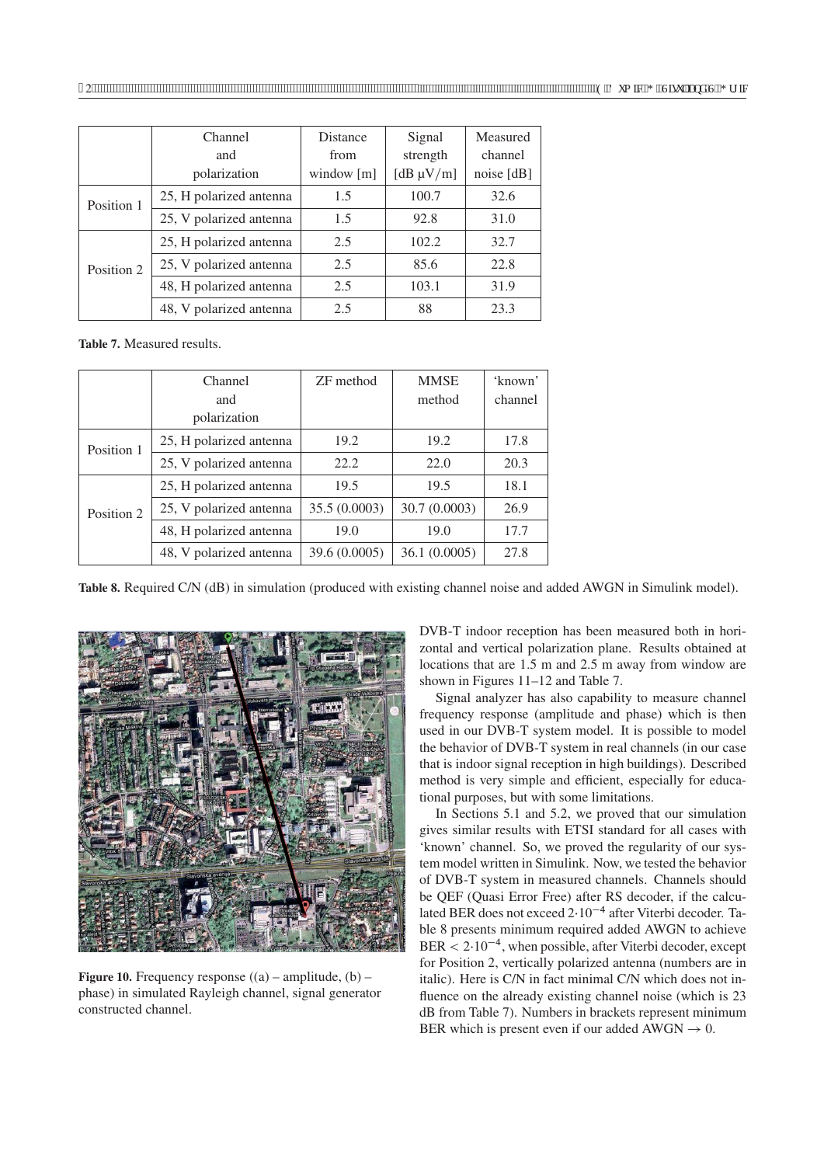|            | Channel                 | <b>Distance</b> | Signal         | Measured     |
|------------|-------------------------|-----------------|----------------|--------------|
|            | and                     | from            | strength       | channel      |
|            | polarization            | window $[m]$    | [dB $\mu$ V/m] | noise $[dB]$ |
| Position 1 | 25, H polarized antenna | 1.5             | 100.7          | 32.6         |
|            | 25, V polarized antenna | 1.5             | 92.8           | 31.0         |
|            | 25, H polarized antenna | 2.5             | 102.2          | 32.7         |
| Position 2 | 25, V polarized antenna | 2.5             | 85.6           | 22.8         |
|            | 48, H polarized antenna | 2.5             | 103.1          | 31.9         |
|            | 48, V polarized antenna | 2.5             | 88             | 23.3         |

**Table 7.** Measured results.

|            | Channel                 | ZF method     | <b>MMSE</b>   | 'known' |
|------------|-------------------------|---------------|---------------|---------|
|            | and                     |               | method        | channel |
|            | polarization            |               |               |         |
| Position 1 | 25, H polarized antenna | 19.2          | 19.2          | 17.8    |
|            | 25, V polarized antenna | 22.2          | 22.0          | 20.3    |
|            | 25, H polarized antenna | 19.5          | 19.5          | 18.1    |
| Position 2 | 25, V polarized antenna | 35.5 (0.0003) | 30.7 (0.0003) | 26.9    |
|            | 48, H polarized antenna | 19.0          | 19.0          | 17.7    |
|            | 48, V polarized antenna | 39.6 (0.0005) | 36.1(0.0005)  | 27.8    |

**Table 8.** Required C/N (dB) in simulation (produced with existing channel noise and added AWGN in Simulink model).



**Figure 10.** Frequency response  $((a)$  – amplitude,  $(b)$  – phase) in simulated Rayleigh channel, signal generator constructed channel.

DVB-T indoor reception has been measured both in horizontal and vertical polarization plane. Results obtained at locations that are 1.5 m and 2.5 m away from window are shown in Figures 11–12 and Table 7.

Signal analyzer has also capability to measure channel frequency response (amplitude and phase) which is then used in our DVB-T system model. It is possible to model the behavior of DVB-T system in real channels (in our case that is indoor signal reception in high buildings). Described method is very simple and efficient, especially for educational purposes, but with some limitations.

In Sections 5.1 and 5.2, we proved that our simulation gives similar results with ETSI standard for all cases with 'known' channel. So, we proved the regularity of our system model written in Simulink. Now, we tested the behavior of DVB-T system in measured channels. Channels should be QEF (Quasi Error Free) after RS decoder, if the calculated BER does not exceed  $2 \cdot 10^{-4}$  after Viterbi decoder. Table 8 presents minimum required added AWGN to achieve BER  $\leq 2.10^{-4}$ , when possible, after Viterbi decoder, except for Position 2, vertically polarized antenna (numbers are in italic). Here is C/N in fact minimal C/N which does not influence on the already existing channel noise (which is 23 dB from Table 7). Numbers in brackets represent minimum BER which is present even if our added  $AWGN \rightarrow 0$ .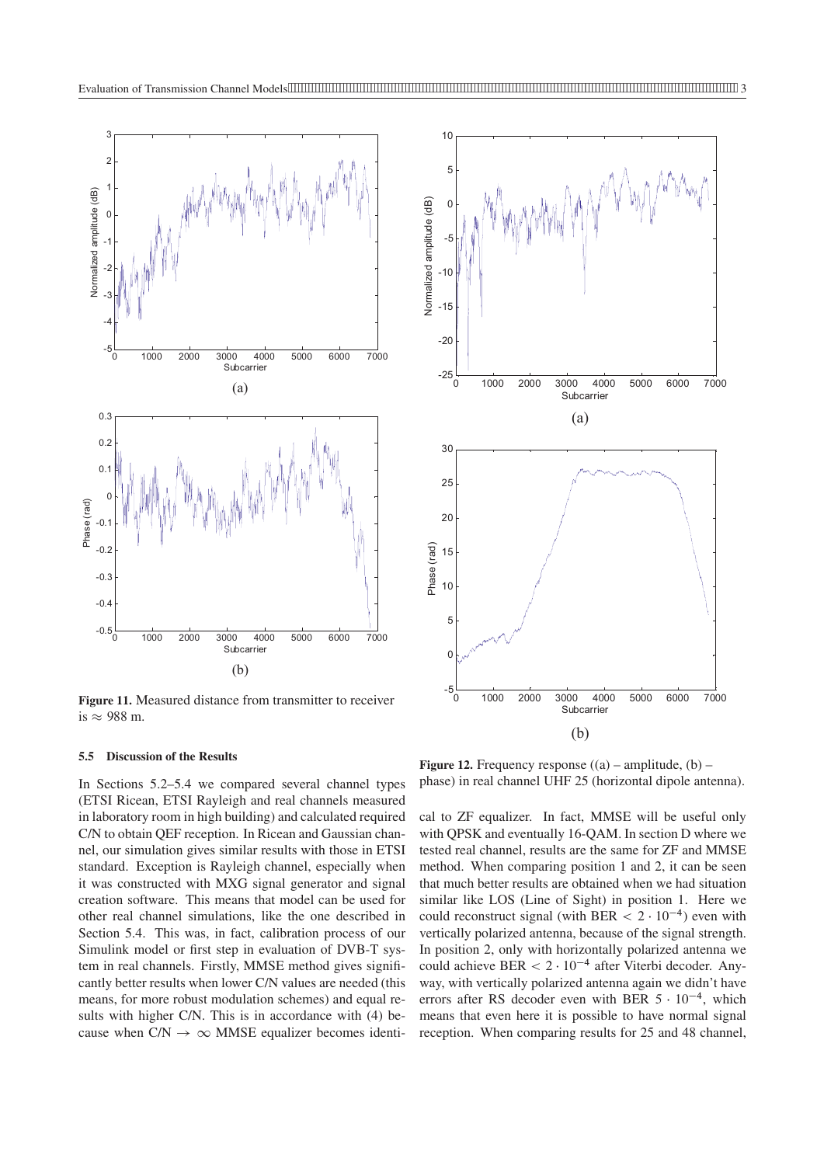

**Figure 11.** Measured distance from transmitter to receiver is  $\approx$  988 m.

#### **5.5 Discussion of the Results**

In Sections 5.2–5.4 we compared several channel types (ETSI Ricean, ETSI Rayleigh and real channels measured in laboratory room in high building) and calculated required C/N to obtain QEF reception. In Ricean and Gaussian channel, our simulation gives similar results with those in ETSI standard. Exception is Rayleigh channel, especially when it was constructed with MXG signal generator and signal creation software. This means that model can be used for other real channel simulations, like the one described in Section 5.4. This was, in fact, calibration process of our Simulink model or first step in evaluation of DVB-T system in real channels. Firstly, MMSE method gives significantly better results when lower C/N values are needed (this means, for more robust modulation schemes) and equal results with higher C/N. This is in accordance with (4) because when  $C/N \rightarrow \infty$  MMSE equalizer becomes identi-



**Figure 12.** Frequency response  $((a)$  – amplitude,  $(b)$  – phase) in real channel UHF 25 (horizontal dipole antenna).

cal to ZF equalizer. In fact, MMSE will be useful only with QPSK and eventually 16-QAM. In section D where we tested real channel, results are the same for ZF and MMSE method. When comparing position 1 and 2, it can be seen that much better results are obtained when we had situation similar like LOS (Line of Sight) in position 1. Here we could reconstruct signal (with BER  $< 2 \cdot 10^{-4}$ ) even with vertically polarized antenna, because of the signal strength. In position 2, only with horizontally polarized antenna we could achieve BER  $< 2 \cdot 10^{-4}$  after Viterbi decoder. Anyway, with vertically polarized antenna again we didn't have errors after RS decoder even with BER  $5 \cdot 10^{-4}$ , which means that even here it is possible to have normal signal reception. When comparing results for 25 and 48 channel,